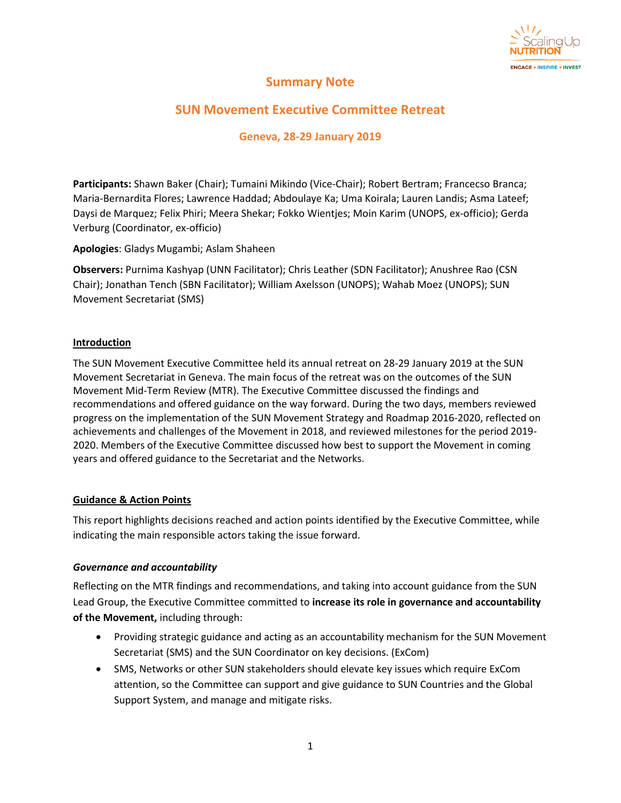

# **Summary Note**

# **SUN Movement Executive Committee Retreat**

# **Geneva, 28-29 January 2019**

**Participants:** Shawn Baker (Chair); Tumaini Mikindo (Vice-Chair); Robert Bertram; Francecso Branca; Maria-Bernardita Flores; Lawrence Haddad; Abdoulaye Ka; Uma Koirala; Lauren Landis; Asma Lateef; Daysi de Marquez; Felix Phiri; Meera Shekar; Fokko Wientjes; Moin Karim (UNOPS, ex-officio); Gerda Verburg (Coordinator, ex-officio)

**Apologies**: Gladys Mugambi; Aslam Shaheen

**Observers:** Purnima Kashyap (UNN Facilitator); Chris Leather (SDN Facilitator); Anushree Rao (CSN Chair); Jonathan Tench (SBN Facilitator); William Axelsson (UNOPS); Wahab Moez (UNOPS); SUN Movement Secretariat (SMS)

## **Introduction**

The SUN Movement Executive Committee held its annual retreat on 28-29 January 2019 at the SUN Movement Secretariat in Geneva. The main focus of the retreat was on the outcomes of the SUN Movement Mid-Term Review (MTR). The Executive Committee discussed the findings and recommendations and offered guidance on the way forward. During the two days, members reviewed progress on the implementation of the SUN Movement Strategy and Roadmap 2016-2020, reflected on achievements and challenges of the Movement in 2018, and reviewed milestones for the period 2019- 2020. Members of the Executive Committee discussed how best to support the Movement in coming years and offered guidance to the Secretariat and the Networks.

## **Guidance & Action Points**

This report highlights decisions reached and action points identified by the Executive Committee, while indicating the main responsible actors taking the issue forward.

## *Governance and accountability*

Reflecting on the MTR findings and recommendations, and taking into account guidance from the SUN Lead Group, the Executive Committee committed to **increase its role in governance and accountability of the Movement,** including through:

- Providing strategic guidance and acting as an accountability mechanism for the SUN Movement Secretariat (SMS) and the SUN Coordinator on key decisions. (ExCom)
- SMS, Networks or other SUN stakeholders should elevate key issues which require ExCom attention, so the Committee can support and give guidance to SUN Countries and the Global Support System, and manage and mitigate risks.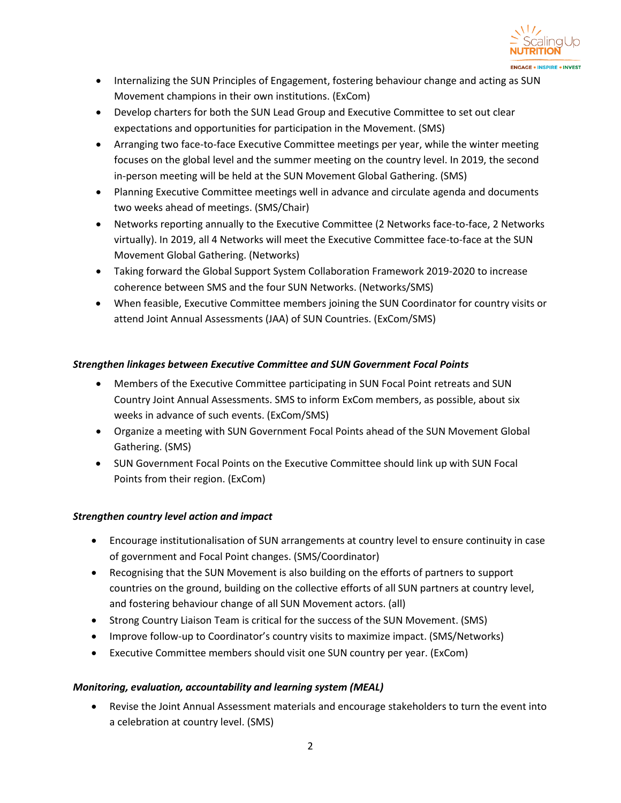

- Internalizing the SUN Principles of Engagement, fostering behaviour change and acting as SUN Movement champions in their own institutions. (ExCom)
- Develop charters for both the SUN Lead Group and Executive Committee to set out clear expectations and opportunities for participation in the Movement. (SMS)
- Arranging two face-to-face Executive Committee meetings per year, while the winter meeting focuses on the global level and the summer meeting on the country level. In 2019, the second in-person meeting will be held at the SUN Movement Global Gathering. (SMS)
- Planning Executive Committee meetings well in advance and circulate agenda and documents two weeks ahead of meetings. (SMS/Chair)
- Networks reporting annually to the Executive Committee (2 Networks face-to-face, 2 Networks virtually). In 2019, all 4 Networks will meet the Executive Committee face-to-face at the SUN Movement Global Gathering. (Networks)
- Taking forward the Global Support System Collaboration Framework 2019-2020 to increase coherence between SMS and the four SUN Networks. (Networks/SMS)
- When feasible, Executive Committee members joining the SUN Coordinator for country visits or attend Joint Annual Assessments (JAA) of SUN Countries. (ExCom/SMS)

# *Strengthen linkages between Executive Committee and SUN Government Focal Points*

- Members of the Executive Committee participating in SUN Focal Point retreats and SUN Country Joint Annual Assessments. SMS to inform ExCom members, as possible, about six weeks in advance of such events. (ExCom/SMS)
- Organize a meeting with SUN Government Focal Points ahead of the SUN Movement Global Gathering. (SMS)
- SUN Government Focal Points on the Executive Committee should link up with SUN Focal Points from their region. (ExCom)

# *Strengthen country level action and impact*

- Encourage institutionalisation of SUN arrangements at country level to ensure continuity in case of government and Focal Point changes. (SMS/Coordinator)
- Recognising that the SUN Movement is also building on the efforts of partners to support countries on the ground, building on the collective efforts of all SUN partners at country level, and fostering behaviour change of all SUN Movement actors. (all)
- Strong Country Liaison Team is critical for the success of the SUN Movement. (SMS)
- Improve follow-up to Coordinator's country visits to maximize impact. (SMS/Networks)
- Executive Committee members should visit one SUN country per year. (ExCom)

# *Monitoring, evaluation, accountability and learning system (MEAL)*

• Revise the Joint Annual Assessment materials and encourage stakeholders to turn the event into a celebration at country level. (SMS)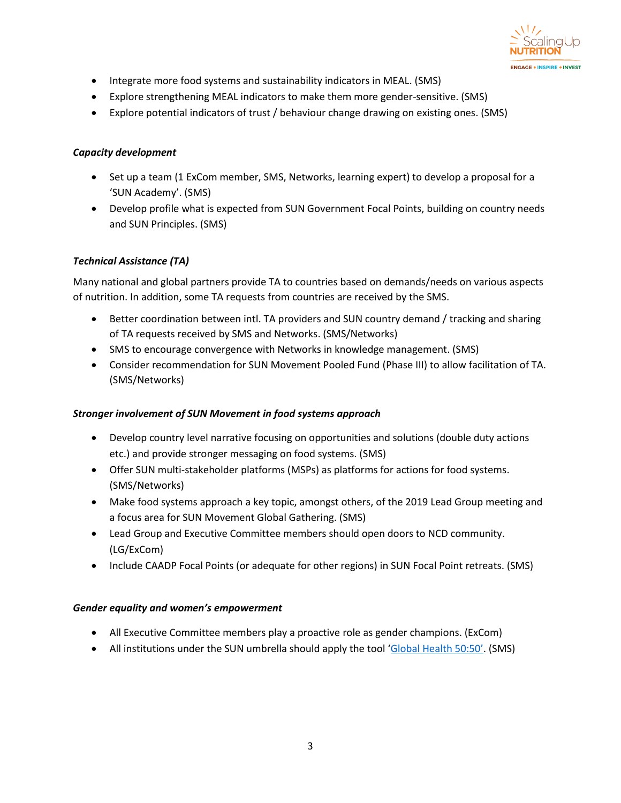

- Integrate more food systems and sustainability indicators in MEAL. (SMS)
- Explore strengthening MEAL indicators to make them more gender-sensitive. (SMS)
- Explore potential indicators of trust / behaviour change drawing on existing ones. (SMS)

## *Capacity development*

- Set up a team (1 ExCom member, SMS, Networks, learning expert) to develop a proposal for a 'SUN Academy'. (SMS)
- Develop profile what is expected from SUN Government Focal Points, building on country needs and SUN Principles. (SMS)

# *Technical Assistance (TA)*

Many national and global partners provide TA to countries based on demands/needs on various aspects of nutrition. In addition, some TA requests from countries are received by the SMS.

- Better coordination between intl. TA providers and SUN country demand / tracking and sharing of TA requests received by SMS and Networks. (SMS/Networks)
- SMS to encourage convergence with Networks in knowledge management. (SMS)
- Consider recommendation for SUN Movement Pooled Fund (Phase III) to allow facilitation of TA. (SMS/Networks)

## *Stronger involvement of SUN Movement in food systems approach*

- Develop country level narrative focusing on opportunities and solutions (double duty actions etc.) and provide stronger messaging on food systems. (SMS)
- Offer SUN multi-stakeholder platforms (MSPs) as platforms for actions for food systems. (SMS/Networks)
- Make food systems approach a key topic, amongst others, of the 2019 Lead Group meeting and a focus area for SUN Movement Global Gathering. (SMS)
- Lead Group and Executive Committee members should open doors to NCD community. (LG/ExCom)
- Include CAADP Focal Points (or adequate for other regions) in SUN Focal Point retreats. (SMS)

## *Gender equality and women's empowerment*

- All Executive Committee members play a proactive role as gender champions. (ExCom)
- All institutions under the SUN umbrella should apply the tool ['Global Health 50:50'](https://globalhealth5050.org/). (SMS)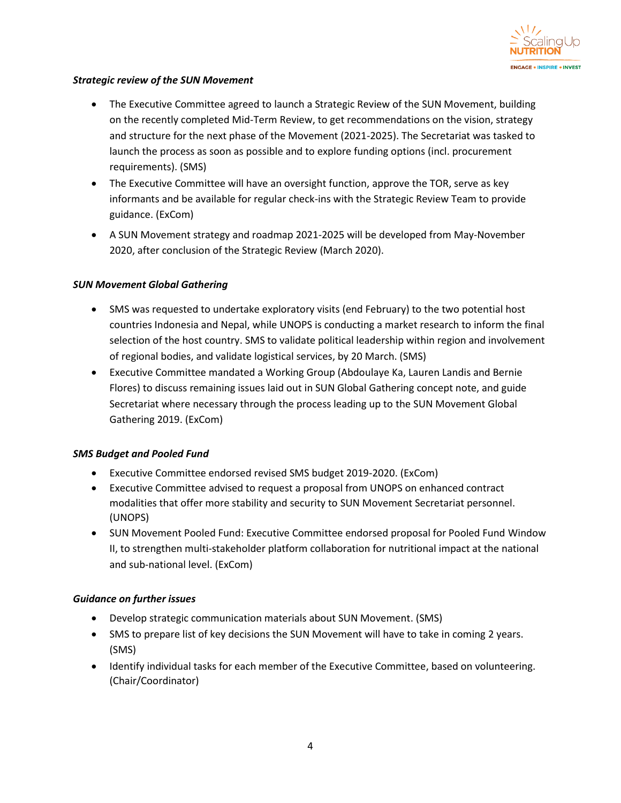

## *Strategic review of the SUN Movement*

- The Executive Committee agreed to launch a Strategic Review of the SUN Movement, building on the recently completed Mid-Term Review, to get recommendations on the vision, strategy and structure for the next phase of the Movement (2021-2025). The Secretariat was tasked to launch the process as soon as possible and to explore funding options (incl. procurement requirements). (SMS)
- The Executive Committee will have an oversight function, approve the TOR, serve as key informants and be available for regular check-ins with the Strategic Review Team to provide guidance. (ExCom)
- A SUN Movement strategy and roadmap 2021-2025 will be developed from May-November 2020, after conclusion of the Strategic Review (March 2020).

## *SUN Movement Global Gathering*

- SMS was requested to undertake exploratory visits (end February) to the two potential host countries Indonesia and Nepal, while UNOPS is conducting a market research to inform the final selection of the host country. SMS to validate political leadership within region and involvement of regional bodies, and validate logistical services, by 20 March. (SMS)
- Executive Committee mandated a Working Group (Abdoulaye Ka, Lauren Landis and Bernie Flores) to discuss remaining issues laid out in SUN Global Gathering concept note, and guide Secretariat where necessary through the process leading up to the SUN Movement Global Gathering 2019. (ExCom)

## *SMS Budget and Pooled Fund*

- Executive Committee endorsed revised SMS budget 2019-2020. (ExCom)
- Executive Committee advised to request a proposal from UNOPS on enhanced contract modalities that offer more stability and security to SUN Movement Secretariat personnel. (UNOPS)
- SUN Movement Pooled Fund: Executive Committee endorsed proposal for Pooled Fund Window II, to strengthen multi-stakeholder platform collaboration for nutritional impact at the national and sub-national level. (ExCom)

## *Guidance on further issues*

- Develop strategic communication materials about SUN Movement. (SMS)
- SMS to prepare list of key decisions the SUN Movement will have to take in coming 2 years. (SMS)
- Identify individual tasks for each member of the Executive Committee, based on volunteering. (Chair/Coordinator)